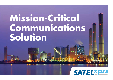# **Mission-Critical Communications Solution**

## *SATELXprs*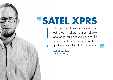# " **SATEL XPRS**

is based on private radio networking technology. It offers the most reliable long-range data connectivity and the highest availability for mission-critical applications under all circumstances.

**"** 

**Heikki Keränen**

SATEL Solution Manager

**SATE!**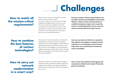# **Challenges**

#### **How to match all the mission-critical requirements?**

#### **How to combine the best features of various technologies?**

When you have a mission-critical system, you need a mission-critical connectivity solution. You need to be able to access your system with high availability, long-range and cyber security. You know how much it costs for your application, when the connectivity is lost. Every second counts. You simply can't afford your system to be down. Mission-critical characteristics are emphasized even more during a

major event, such as electricity blackout.

**Does your mission-critical communications rely on public networks and availability of electricity? Will your mission-critical communications be available during these major events caused by storms or something similar? Are you sure your system is well protected and cyber secure?** 

The evolution of machine-to-machine communications, including mission-critical connectivity, is constantly requiring more and more throughput, or speed. Often the highest speed requirements are for less critical components, like video. The challenge is to combine speed and reliability requirements, and this often calls for combining different technologies such as cellular and radio modem technologies efficiently.

**How can you make sure that the co-operation with adjacent technologies is seamless and the switchover to surviving path is done automatically, when one communications channel becomes unavailable?** 

**How to carry out network modernization in a smart way?**

Automation systems are currently being modernized in a big extent. Smart modernization adds up to significant savings, when the lifetime of the legacy components is extended and the modernization process is executed one step at a time.

**How to ensure the operation of the legacy serial components, while the new modern IP technologies are introduced?**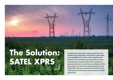# **The Solution: SATEL XPRS**

**The SATEL XPRS communications solution provides the most reliable long-range data connectivity and the highest availability for mission-critical applications under all circumstances. The SATEL XPRS can be built in any location where long-range mission-critical connectivity is required, even when there is no public network availability at all. With back-up power, it also works in total electricity blackout scenarios. With the SATEL XPRS you can create your own private network, and have the total control in your own hands with availability up to 100%.**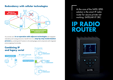#### **Redundancy with cellular technologies**



You can also use it **in co-operation with adjacent technologies** with integrated redundancy and routing protocols or benefit from it in a **step-by-step modernization process** by combining the IP solution to the existing legacy serial components with integrated protocol gateway functionality.



At the core of the SATEL XPRS solution is the smart IP radio router for secure private networking: SATELLAR XT 5RC.

## **ADI ROUTER**

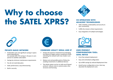## Why to choose **the SATEL XPRS?**



#### **CO-OPERATION WITH ADJACENT TECHNOLOGIES**

- Adds reliability, predictability and security to your connectivity
- Fulfills the mission-critical requirements
- Easy integration of multiple technologies



#### **PRIVATE RADIO NETWORK**

- Predictable costs and significant savings in operational expenditures. For example 60% TCO savings in 10 years in comparison to satellite subscription
- Savings by minimum maintenance requirements
- You do not need data plans
- Static performance, easy dimensioning
- Built-in security



#### **COMBINED LEGACY SERIAL AND IP**

- Protect the previous investment by prolonging the lifetime of legacy system components while extending the network with new modern components
- Reduce cost and possible points of failure by avoiding investments in additional devices
- The whole system can be run with one IP-based protocol: reduces costs in control center infrastructure and licensing.



#### **USER-FRIENDLY CONFIGURATION TOOL: SATEL NETCO**

- Error-free network deployment
- Easy and centralized configuration
- Up to 80% savings by reduced deployment time
- Avoid human configuration errors, that may skyrocket the deployment costs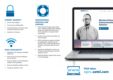

#### **UTMOST SECURITY**

- Ensure data integrity
- Ensure data confidentiality
- Avoid downtimes and excess work caused by malicious access
- Avoid loss of revenue



#### **HIGH AVAILABILITY**

- Significant cost savings by avoiding downtime
- Rule out loss of service leading to loss of revenue
- Rule out delays in fault localization, isolation and restoration
- Rule out possible penalties or fines
- Savings in workforce costs



#### **PROFESSIONAL SERVICES AND SUPPORT**

- SATEL Network Design Center helps you in creating a professional network design with optimized radio and an tenna parameters and guaranteed connectivity
- Carefree connectivity ownership: ins tall-and-forget
- SATEL professional support provided by collaborative engineering: fast reaction times, minimized system dis turbance, minimized need for work force
- Savings by avoiding the need to use 3rd party radio planning or technical support services
- Wide distribution network that serves in local languages





**Visit also: xprs.satel.com**